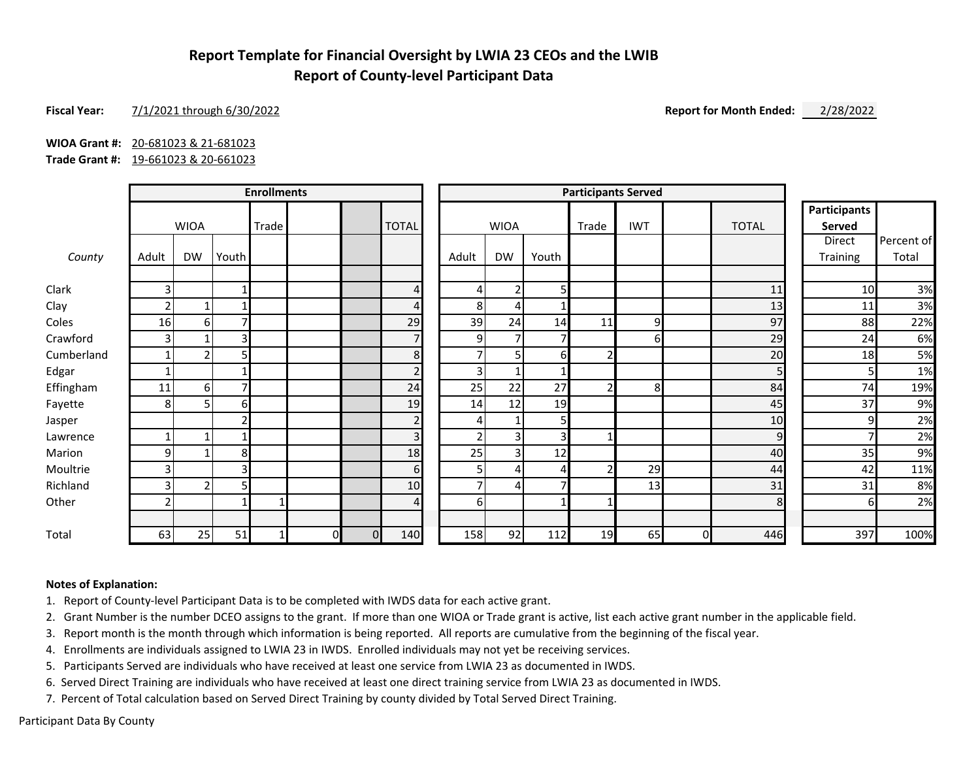# **Report Template for Financial Oversight by LWIA 23 CEOs and the LWIB Report of County-level Participant Data**

#### **Fiscal Year:** 7/1/2021 through 6/30/2022 **Report for Month Ended:** 2/28/2022

**WIOA Grant #:** 20-681023 & 21-681023

**Trade Grant #:** 19-661023 & 20-661023

|            | <b>Enrollments</b> |                |       |       |              | <b>Participants Served</b> |                |                |                |       |       |                |    |                |                                      |            |
|------------|--------------------|----------------|-------|-------|--------------|----------------------------|----------------|----------------|----------------|-------|-------|----------------|----|----------------|--------------------------------------|------------|
|            |                    | <b>WIOA</b>    |       | Trade |              |                            | <b>TOTAL</b>   |                | <b>WIOA</b>    |       | Trade | <b>IWT</b>     |    | <b>TOTAL</b>   | <b>Participants</b><br><b>Served</b> |            |
|            |                    |                |       |       |              |                            |                |                |                |       |       |                |    |                | Direct                               | Percent of |
| County     | Adult              | <b>DW</b>      | Youth |       |              |                            |                | Adult          | <b>DW</b>      | Youth |       |                |    |                | Training                             | Total      |
| Clark      | 3                  |                |       |       |              |                            | 4              | 4              | $\overline{2}$ | 5     |       |                |    | 11             | 10                                   | 3%         |
| Clay       |                    | 1              |       |       |              |                            | 4              | 8              | 4              |       |       |                |    | 13             | 11                                   | 3%         |
| Coles      | 16                 | 6              |       |       |              |                            | 29             | 39             | 24             | 14    | 11    | 9              |    | 97             | 88                                   | 22%        |
| Crawford   |                    |                | 3     |       |              |                            | $\overline{7}$ | $\overline{9}$ | $\overline{7}$ |       |       | 61             |    | 29             | 24                                   | 6%         |
| Cumberland |                    | $\overline{2}$ |       |       |              |                            | 8              | $\overline{ }$ | 5 <sup>1</sup> | 6     |       |                |    | 20             | 18                                   | 5%         |
| Edgar      |                    |                |       |       |              |                            | $\overline{2}$ | 3              | 1              |       |       |                |    | 5 <sub>l</sub> |                                      | 1%         |
| Effingham  | 11                 | 6              |       |       |              |                            | 24             | 25             | 22             | 27    |       | 8 <sup>l</sup> |    | 84             | 74                                   | 19%        |
| Fayette    | 8                  | 5              | 6     |       |              |                            | 19             | 14             | 12             | 19    |       |                |    | 45             | 37                                   | 9%         |
| Jasper     |                    |                |       |       |              |                            | $\overline{2}$ | 4              |                | 5     |       |                |    | 10             | q                                    | 2%         |
| Lawrence   |                    | $\mathbf{1}$   |       |       |              |                            | 3              | $\overline{2}$ | $\overline{3}$ | 3     |       |                |    | $\overline{9}$ |                                      | 2%         |
| Marion     | 9                  |                | 8     |       |              |                            | 18             | 25             | 3              | 12    |       |                |    | 40             | 35                                   | 9%         |
| Moultrie   |                    |                | 3     |       |              |                            | 6              | 5 <sub>l</sub> | 4              | Δ     |       | 29             |    | 44             | 42                                   | 11%        |
| Richland   |                    | $\overline{2}$ |       |       |              |                            | 10             | 7              | 4              | ⇁     |       | 13             |    | 31             | 31                                   | 8%         |
| Other      |                    |                |       |       |              |                            | 4              | 6              |                |       |       |                |    | 8              | h                                    | 2%         |
| Total      | 63                 | 25             | 51    |       | $\mathbf{0}$ | $\mathbf{0}$               | 140            | 158            | 92             | 112   | 19    | 65             | ΟI | 446            | 397                                  | 100%       |

#### **Notes of Explanation:**

1. Report of County-level Participant Data is to be completed with IWDS data for each active grant.

2. Grant Number is the number DCEO assigns to the grant. If more than one WIOA or Trade grant is active, list each active grant number in the applicable field.

3. Report month is the month through which information is being reported. All reports are cumulative from the beginning of the fiscal year.

4. Enrollments are individuals assigned to LWIA 23 in IWDS. Enrolled individuals may not yet be receiving services.

5. Participants Served are individuals who have received at least one service from LWIA 23 as documented in IWDS.

6. Served Direct Training are individuals who have received at least one direct training service from LWIA 23 as documented in IWDS.

7. Percent of Total calculation based on Served Direct Training by county divided by Total Served Direct Training.

Participant Data By County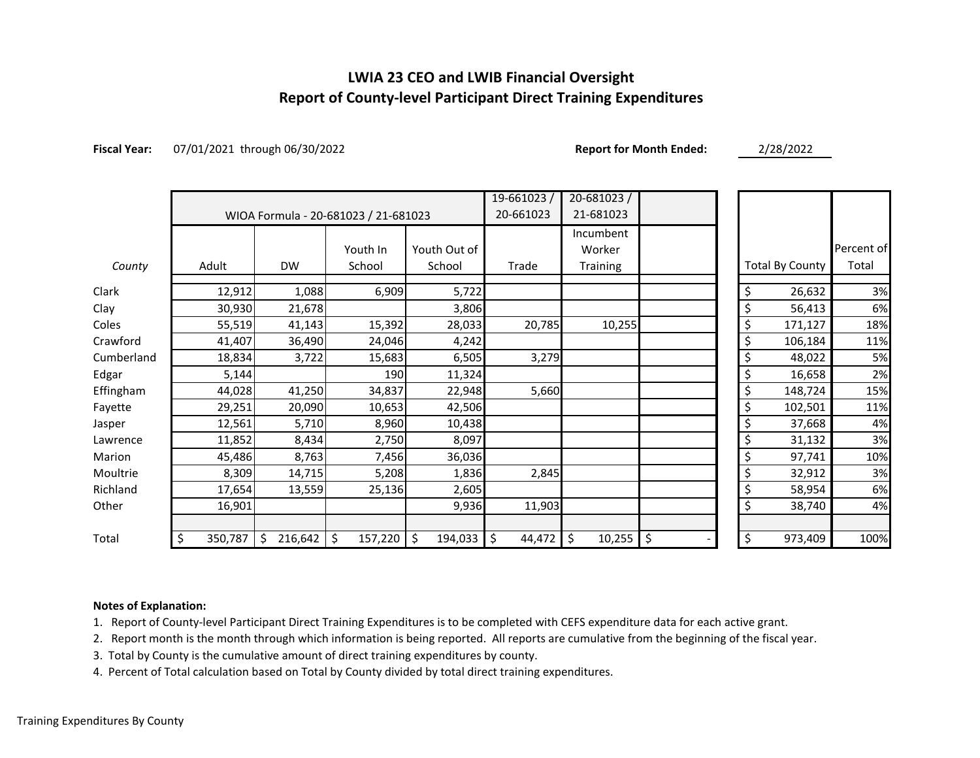# **LWIA 23 CEO and LWIB Financial Oversight Report of County-level Participant Direct Training Expenditures**

**Fiscal Year:** 07/01/2021 through 06/30/2022 **Report for Month Ended:** 2/28/2022

|            |               |               |                                      |               | 19-661023/        | $20 - 681023/$  |          |                        |            |
|------------|---------------|---------------|--------------------------------------|---------------|-------------------|-----------------|----------|------------------------|------------|
|            |               |               | WIOA Formula - 20-681023 / 21-681023 | 20-661023     | 21-681023         |                 |          |                        |            |
|            |               |               |                                      |               |                   | Incumbent       |          |                        |            |
|            |               |               | Youth In                             | Youth Out of  |                   | Worker          |          |                        | Percent of |
| County     | Adult         | <b>DW</b>     | School                               | School        | Trade             | <b>Training</b> |          | <b>Total By County</b> | Total      |
| Clark      | 12,912        | 1,088         | 6,909                                | 5,722         |                   |                 | \$       | 26,632                 | 3%         |
| Clay       | 30,930        | 21,678        |                                      | 3,806         |                   |                 | \$       | 56,413                 | 6%         |
| Coles      | 55,519        | 41,143        | 15,392                               | 28,033        | 20,785            | 10,255          | \$       | 171,127                | 18%        |
| Crawford   | 41,407        | 36,490        | 24,046                               | 4,242         |                   |                 | \$       | 106,184                | 11%        |
| Cumberland | 18,834        | 3,722         | 15,683                               | 6,505         | 3,279             |                 |          | 48,022                 | 5%         |
| Edgar      | 5,144         |               | 190                                  | 11,324        |                   |                 | \$       | 16,658                 | 2%         |
| Effingham  | 44,028        | 41,250        | 34,837                               | 22,948        | 5,660             |                 | \$       | 148,724                | 15%        |
| Fayette    | 29,251        | 20,090        | 10,653                               | 42,506        |                   |                 | \$       | 102,501                | 11%        |
| Jasper     | 12,561        | 5,710         | 8,960                                | 10,438        |                   |                 | \$       | 37,668                 | 4%         |
| Lawrence   | 11,852        | 8,434         | 2,750                                | 8,097         |                   |                 | \$       | 31,132                 | 3%         |
| Marion     | 45,486        | 8,763         | 7,456                                | 36,036        |                   |                 | \$       | 97,741                 | 10%        |
| Moultrie   | 8,309         | 14,715        | 5,208                                | 1,836         | 2,845             |                 | \$       | 32,912                 | 3%         |
| Richland   | 17,654        | 13,559        | 25,136                               | 2,605         |                   |                 | \$       | 58,954                 | 6%         |
| Other      | 16,901        |               |                                      | 9,936         | 11,903            |                 | \$       | 38,740                 | 4%         |
|            |               |               |                                      |               |                   |                 |          |                        |            |
| Total      | \$<br>350,787 | 216,642<br>\$ | \$<br>157,220                        | \$<br>194,033 | $\zeta$<br>44,472 | \$<br>10,255    | \$<br>\$ | 973,409                | 100%       |

#### **Notes of Explanation:**

1. Report of County-level Participant Direct Training Expenditures is to be completed with CEFS expenditure data for each active grant.

2. Report month is the month through which information is being reported. All reports are cumulative from the beginning of the fiscal year.

3. Total by County is the cumulative amount of direct training expenditures by county.

4. Percent of Total calculation based on Total by County divided by total direct training expenditures.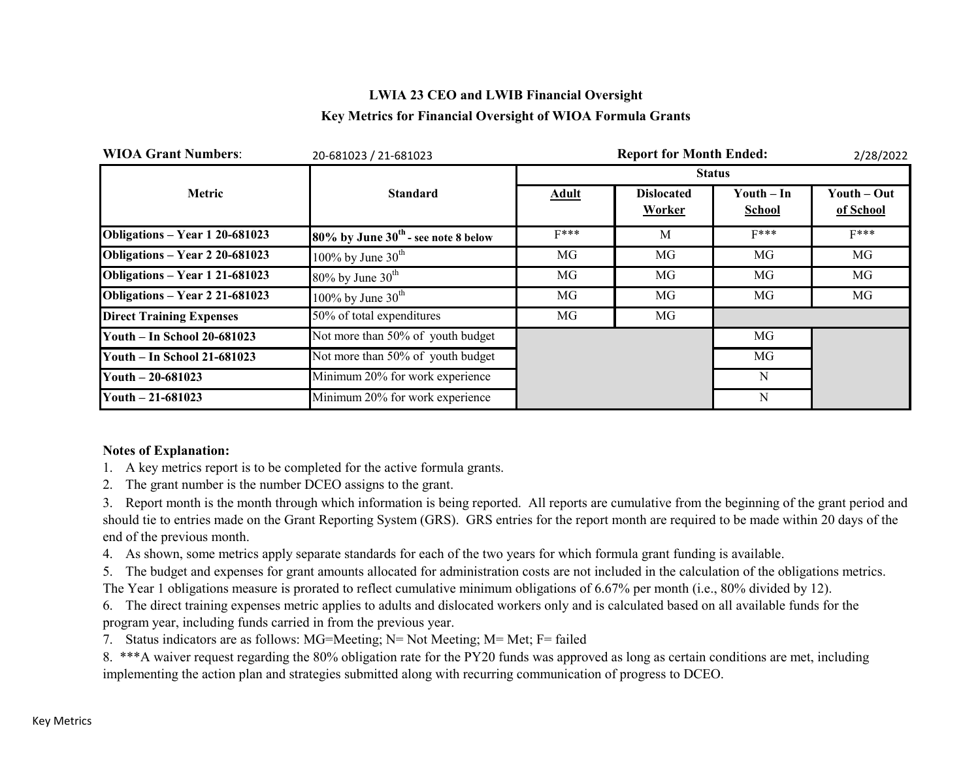# **LWIA 23 CEO and LWIB Financial Oversight Key Metrics for Financial Oversight of WIOA Formula Grants**

| <b>WIOA Grant Numbers:</b>         | 20-681023 / 21-681023                    |               | 2/28/2022                          |                                             |                          |  |  |  |
|------------------------------------|------------------------------------------|---------------|------------------------------------|---------------------------------------------|--------------------------|--|--|--|
|                                    |                                          | <b>Status</b> |                                    |                                             |                          |  |  |  |
| <b>Metric</b>                      | <b>Standard</b>                          | <b>Adult</b>  | <b>Dislocated</b><br><b>Worker</b> | $\text{Youth} - \text{In}$<br><b>School</b> | Youth – Out<br>of School |  |  |  |
| Obligations – Year 1 20-681023     | $80\%$ by June $30th$ - see note 8 below | $F***$        | M                                  | $F***$                                      | $F***$                   |  |  |  |
| Obligations - Year 2 20-681023     | 100% by June $30^{\text{th}}$            | MG            | MG                                 | MG                                          | MG                       |  |  |  |
| Obligations - Year 1 21-681023     | $80\%$ by June $30^{th}$                 | MG            | MG                                 | MG                                          | MG                       |  |  |  |
| Obligations - Year 2 21-681023     | 100% by June $30^{\text{th}}$            | MG            | MG                                 | MG                                          | MG                       |  |  |  |
| <b>Direct Training Expenses</b>    | 50% of total expenditures                | MG            | MG                                 |                                             |                          |  |  |  |
| <b>Youth - In School 20-681023</b> | Not more than 50% of youth budget        |               |                                    | MG                                          |                          |  |  |  |
| <b>Youth - In School 21-681023</b> | Not more than 50% of youth budget        |               |                                    | MG                                          |                          |  |  |  |
| Youth $-20-681023$                 | Minimum 20% for work experience          |               |                                    | N                                           |                          |  |  |  |
| Youth $-21-681023$                 | Minimum 20% for work experience          |               |                                    | N                                           |                          |  |  |  |

#### **Notes of Explanation:**

1. A key metrics report is to be completed for the active formula grants.

2. The grant number is the number DCEO assigns to the grant.

3. Report month is the month through which information is being reported. All reports are cumulative from the beginning of the grant period and should tie to entries made on the Grant Reporting System (GRS). GRS entries for the report month are required to be made within 20 days of the end of the previous month.

4. As shown, some metrics apply separate standards for each of the two years for which formula grant funding is available.

5. The budget and expenses for grant amounts allocated for administration costs are not included in the calculation of the obligations metrics.

The Year 1 obligations measure is prorated to reflect cumulative minimum obligations of 6.67% per month (i.e., 80% divided by 12).

6. The direct training expenses metric applies to adults and dislocated workers only and is calculated based on all available funds for the program year, including funds carried in from the previous year.

7. Status indicators are as follows: MG=Meeting; N= Not Meeting; M= Met; F= failed

8. \*\*\*A waiver request regarding the 80% obligation rate for the PY20 funds was approved as long as certain conditions are met, including implementing the action plan and strategies submitted along with recurring communication of progress to DCEO.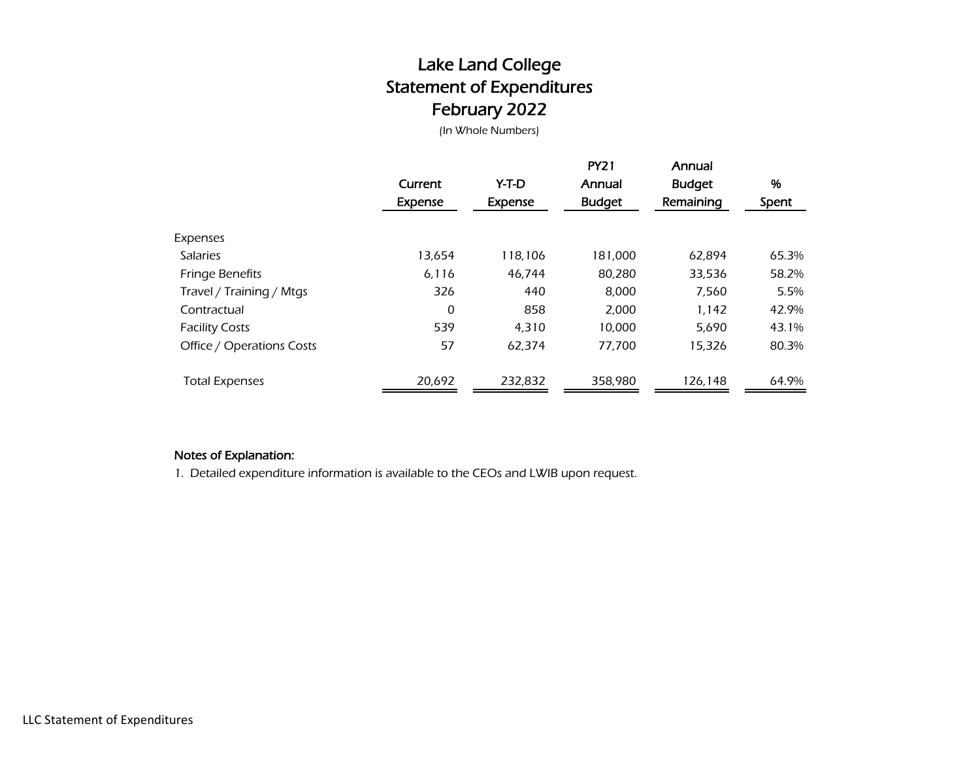# Lake Land College Statement of Expenditures February 2022

(In Whole Numbers)

|                           | Current<br><b>Expense</b> | Y-T-D<br>Expense | <b>PY21</b><br>Annual<br><b>Budget</b> | Annual<br><b>Budget</b><br>Remaining | %<br>Spent |
|---------------------------|---------------------------|------------------|----------------------------------------|--------------------------------------|------------|
| Expenses                  |                           |                  |                                        |                                      |            |
| <b>Salaries</b>           | 13,654                    | 118,106          | 181,000                                | 62.894                               | 65.3%      |
| <b>Fringe Benefits</b>    | 6,116                     | 46.744           | 80,280                                 | 33,536                               | 58.2%      |
| Travel / Training / Mtgs  | 326                       | 440              | 8,000                                  | 7,560                                | 5.5%       |
| Contractual               | 0                         | 858              | 2,000                                  | 1,142                                | 42.9%      |
| <b>Facility Costs</b>     | 539                       | 4,310            | 10,000                                 | 5,690                                | 43.1%      |
| Office / Operations Costs | 57                        | 62,374           | 77,700                                 | 15,326                               | 80.3%      |
| <b>Total Expenses</b>     | 20,692                    | 232,832          | 358,980                                | 126,148                              | 64.9%      |

#### Notes of Explanation:

1. Detailed expenditure information is available to the CEOs and LWIB upon request.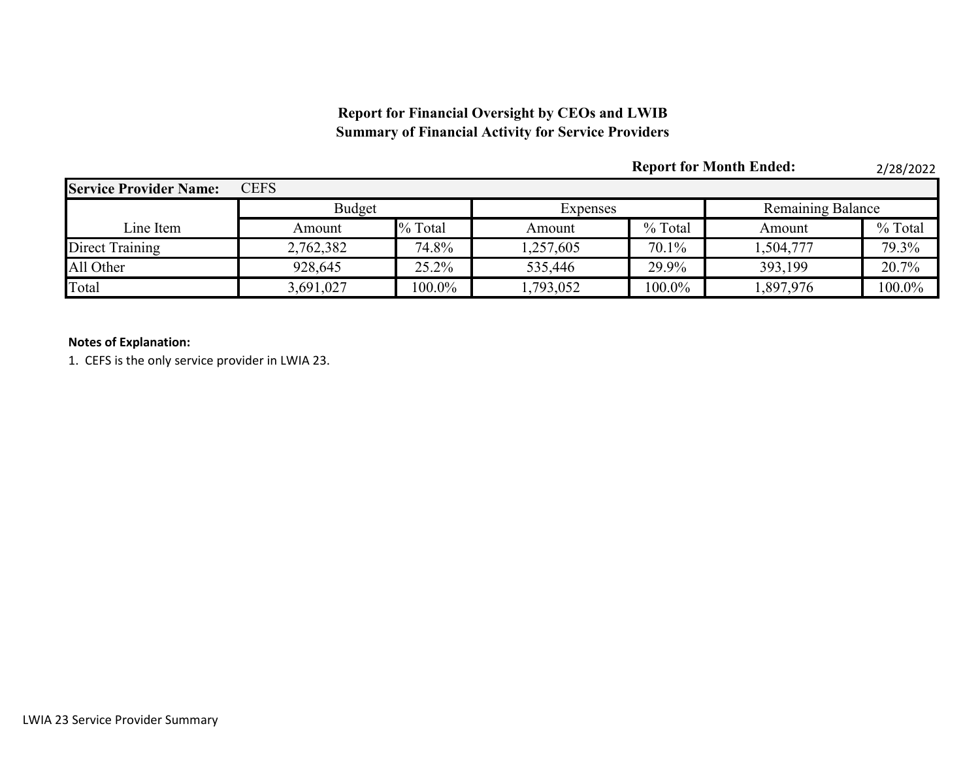## **Report for Financial Oversight by CEOs and LWIB Summary of Financial Activity for Service Providers**

|                               |               |           |                 | <b>Report for Month Ended:</b> |                          | 2/28/2022 |  |
|-------------------------------|---------------|-----------|-----------------|--------------------------------|--------------------------|-----------|--|
| <b>Service Provider Name:</b> | <b>CEFS</b>   |           |                 |                                |                          |           |  |
|                               | <b>Budget</b> |           | <b>Expenses</b> |                                | <b>Remaining Balance</b> |           |  |
| Line Item                     | Amount        | % Total   | Amount          | % Total                        | Amount                   | % Total   |  |
| Direct Training               | 2,762,382     | 74.8%     | 1,257,605       | 70.1%                          | 1,504,777                | 79.3%     |  |
| All Other                     | 928,645       | 25.2%     | 535,446         | 29.9%                          | 393,199                  | 20.7%     |  |
| Total                         | 3,691,027     | $100.0\%$ | ,793,052        | $100.0\%$                      | 1,897,976                | 100.0%    |  |

#### **Notes of Explanation:**

1. CEFS is the only service provider in LWIA 23.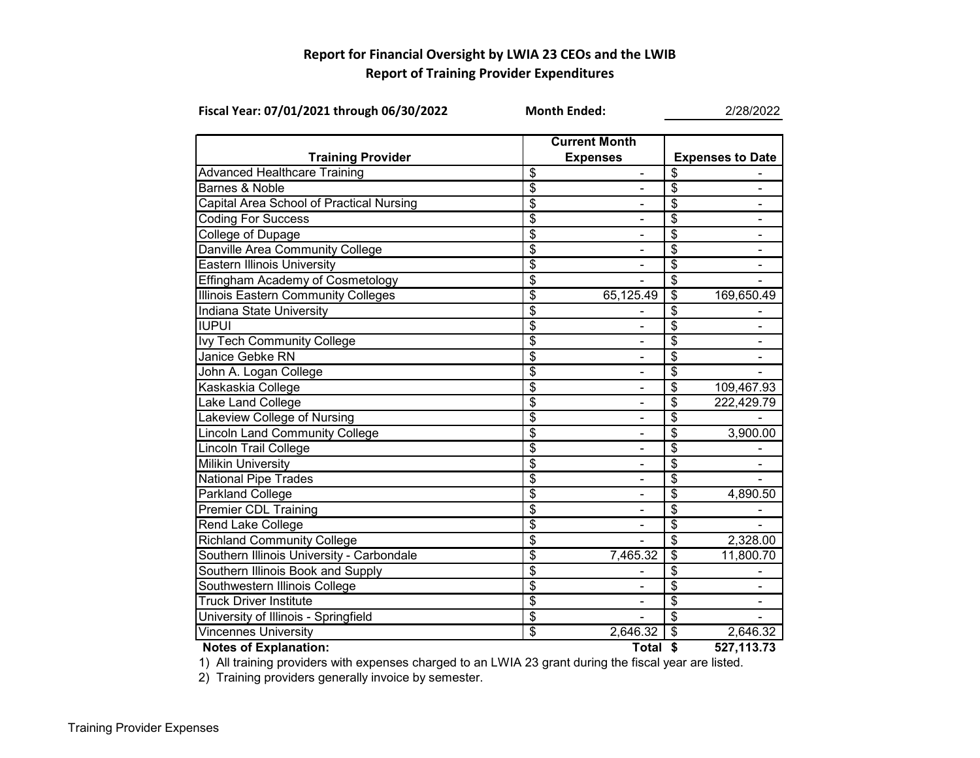### **Report for Financial Oversight by LWIA 23 CEOs and the LWIB Report of Training Provider Expenditures**

| Fiscal Year: 07/01/2021 through 06/30/2022 | <b>Month Ended:</b>                  |                              | 2/28/2022                |                          |  |
|--------------------------------------------|--------------------------------------|------------------------------|--------------------------|--------------------------|--|
|                                            | <b>Current Month</b>                 |                              |                          |                          |  |
| <b>Training Provider</b>                   |                                      | <b>Expenses</b>              |                          | <b>Expenses to Date</b>  |  |
| <b>Advanced Healthcare Training</b>        | \$                                   | $\qquad \qquad \blacksquare$ | \$                       |                          |  |
| Barnes & Noble                             | $\overline{\$}$                      |                              | \$                       |                          |  |
| Capital Area School of Practical Nursing   | $\overline{\$}$                      | $\overline{\phantom{0}}$     | \$                       | $\overline{\phantom{0}}$ |  |
| <b>Coding For Success</b>                  | \$                                   | $\overline{\phantom{0}}$     | \$                       | $\overline{\phantom{0}}$ |  |
| <b>College of Dupage</b>                   | $\overline{\$}$                      | $\blacksquare$               | $\overline{\mathbf{S}}$  | $\blacksquare$           |  |
| Danville Area Community College            | $\overline{\boldsymbol{\mathsf{S}}}$ |                              | \$                       | $\blacksquare$           |  |
| <b>Eastern Illinois University</b>         | \$                                   |                              | \$                       |                          |  |
| Effingham Academy of Cosmetology           | \$                                   |                              | \$                       |                          |  |
| <b>Illinois Eastern Community Colleges</b> | $\overline{\$}$                      | 65,125.49                    | $\overline{\mathbf{S}}$  | 169,650.49               |  |
| Indiana State University                   | $\overline{\$}$                      |                              | $\overline{\mathbf{S}}$  |                          |  |
| <b>IUPUI</b>                               | $\overline{\boldsymbol{\mathsf{S}}}$ |                              | \$                       |                          |  |
| Ivy Tech Community College                 | $\overline{\mathcal{S}}$             |                              | \$                       |                          |  |
| Janice Gebke RN                            | $\overline{\$}$                      | $\blacksquare$               | $\overline{\$}$          |                          |  |
| John A. Logan College                      | $\overline{\$}$                      | $\overline{\phantom{0}}$     | \$                       |                          |  |
| Kaskaskia College                          | $\overline{\mathcal{S}}$             | $\qquad \qquad \blacksquare$ | \$                       | 109,467.93               |  |
| <b>Lake Land College</b>                   | $\overline{\mathcal{S}}$             | $\blacksquare$               | \$                       | 222,429.79               |  |
| Lakeview College of Nursing                | $\overline{\$}$                      | $\blacksquare$               | \$                       |                          |  |
| Lincoln Land Community College             | $\overline{\boldsymbol{\mathsf{S}}}$ |                              | \$                       | 3,900.00                 |  |
| <b>Lincoln Trail College</b>               | $\overline{\boldsymbol{\theta}}$     |                              | \$                       |                          |  |
| <b>Milikin University</b>                  | \$                                   |                              | \$                       |                          |  |
| <b>National Pipe Trades</b>                | $\overline{\$}$                      |                              | $\overline{\$}$          |                          |  |
| <b>Parkland College</b>                    | $\overline{\$}$                      |                              | $\overline{\$}$          | 4,890.50                 |  |
| <b>Premier CDL Training</b>                | $\overline{\boldsymbol{\mathsf{S}}}$ |                              | \$                       |                          |  |
| Rend Lake College                          | $\overline{\$}$                      |                              | $\overline{\$}$          |                          |  |
| <b>Richland Community College</b>          | $\overline{\$}$                      |                              | $\overline{\mathcal{S}}$ | 2,328.00                 |  |
| Southern Illinois University - Carbondale  | $\overline{\mathcal{S}}$             | 7,465.32                     | \$                       | 11,800.70                |  |
| Southern Illinois Book and Supply          | $\overline{\$}$                      |                              | \$                       |                          |  |
| Southwestern Illinois College              | $\overline{\$}$                      |                              | \$                       |                          |  |
| <b>Truck Driver Institute</b>              | $\overline{\mathcal{S}}$             |                              | \$                       |                          |  |
| University of Illinois - Springfield       | $\overline{\boldsymbol{\theta}}$     |                              | \$                       |                          |  |
| <b>Vincennes University</b>                | $\overline{\$}$                      | 2,646.32                     | $\overline{\mathbf{e}}$  | 2,646.32                 |  |
| <b>Notes of Explanation:</b>               |                                      | Total \$                     |                          | 527,113.73               |  |

1) All training providers with expenses charged to an LWIA 23 grant during the fiscal year are listed.

2) Training providers generally invoice by semester.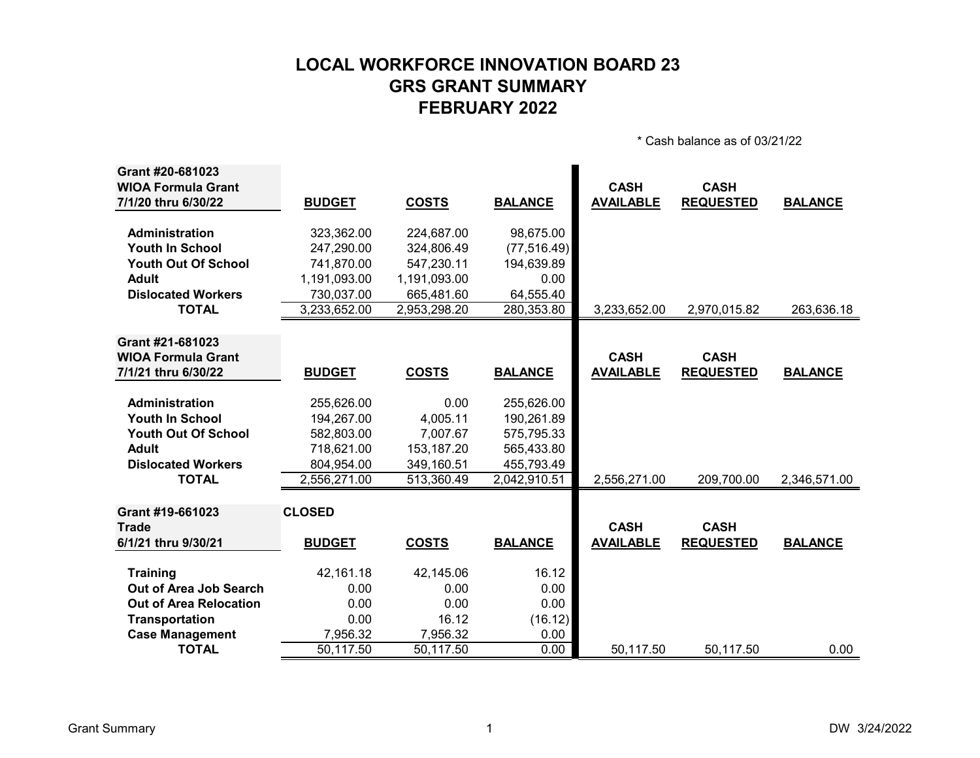# **LOCAL WORKFORCE INNOVATION BOARD 23 GRS GRANT SUMMARY FEBRUARY 2022**

\* Cash balance as of 03/21/22

| Grant #20-681023              |               |              |                |                  |                  |                |
|-------------------------------|---------------|--------------|----------------|------------------|------------------|----------------|
| <b>WIOA Formula Grant</b>     |               |              |                | <b>CASH</b>      | <b>CASH</b>      |                |
| 7/1/20 thru 6/30/22           | <b>BUDGET</b> | <b>COSTS</b> | <b>BALANCE</b> | <b>AVAILABLE</b> | <b>REQUESTED</b> | <b>BALANCE</b> |
|                               |               |              |                |                  |                  |                |
| Administration                | 323,362.00    | 224,687.00   | 98,675.00      |                  |                  |                |
| <b>Youth In School</b>        | 247,290.00    | 324,806.49   | (77, 516.49)   |                  |                  |                |
| <b>Youth Out Of School</b>    | 741,870.00    | 547,230.11   | 194,639.89     |                  |                  |                |
| <b>Adult</b>                  | 1,191,093.00  | 1,191,093.00 | 0.00           |                  |                  |                |
| <b>Dislocated Workers</b>     | 730,037.00    | 665,481.60   | 64,555.40      |                  |                  |                |
| <b>TOTAL</b>                  | 3,233,652.00  | 2,953,298.20 | 280,353.80     | 3,233,652.00     | 2,970,015.82     | 263,636.18     |
|                               |               |              |                |                  |                  |                |
| Grant #21-681023              |               |              |                |                  |                  |                |
| <b>WIOA Formula Grant</b>     |               |              |                | <b>CASH</b>      | <b>CASH</b>      |                |
| 7/1/21 thru 6/30/22           | <b>BUDGET</b> | <b>COSTS</b> | <b>BALANCE</b> | <b>AVAILABLE</b> | <b>REQUESTED</b> | <b>BALANCE</b> |
|                               |               |              |                |                  |                  |                |
| <b>Administration</b>         | 255,626.00    | 0.00         | 255,626.00     |                  |                  |                |
| <b>Youth In School</b>        | 194,267.00    | 4,005.11     | 190,261.89     |                  |                  |                |
| <b>Youth Out Of School</b>    | 582,803.00    | 7,007.67     | 575,795.33     |                  |                  |                |
| <b>Adult</b>                  | 718,621.00    | 153,187.20   | 565,433.80     |                  |                  |                |
| <b>Dislocated Workers</b>     | 804,954.00    | 349,160.51   | 455,793.49     |                  |                  |                |
| <b>TOTAL</b>                  | 2,556,271.00  | 513,360.49   | 2,042,910.51   | 2,556,271.00     | 209,700.00       | 2,346,571.00   |
|                               |               |              |                |                  |                  |                |
| Grant #19-661023              | <b>CLOSED</b> |              |                |                  |                  |                |
| <b>Trade</b>                  |               |              |                | <b>CASH</b>      | <b>CASH</b>      |                |
| 6/1/21 thru 9/30/21           | <b>BUDGET</b> | <b>COSTS</b> | <b>BALANCE</b> | <b>AVAILABLE</b> | <b>REQUESTED</b> | <b>BALANCE</b> |
|                               |               |              |                |                  |                  |                |
| <b>Training</b>               | 42,161.18     | 42,145.06    | 16.12          |                  |                  |                |
| Out of Area Job Search        | 0.00          | 0.00         | 0.00           |                  |                  |                |
| <b>Out of Area Relocation</b> | 0.00          | 0.00         | 0.00           |                  |                  |                |
| <b>Transportation</b>         | 0.00          | 16.12        | (16.12)        |                  |                  |                |
| <b>Case Management</b>        | 7,956.32      | 7,956.32     | 0.00           |                  |                  |                |
| <b>TOTAL</b>                  | 50,117.50     | 50,117.50    | 0.00           | 50,117.50        | 50,117.50        | 0.00           |